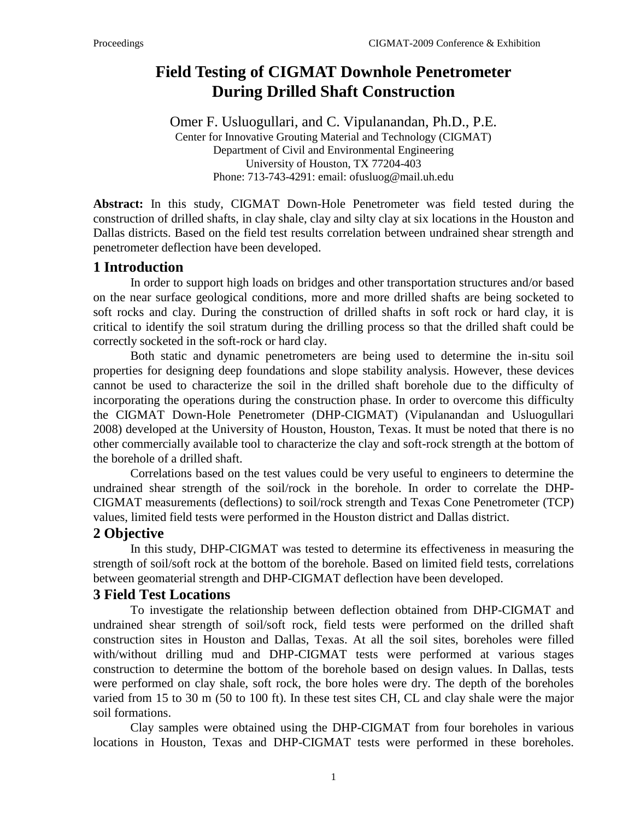# **Field Testing of CIGMAT Downhole Penetrometer During Drilled Shaft Construction**

Omer F. Usluogullari, and C. Vipulanandan, Ph.D., P.E. Center for Innovative Grouting Material and Technology (CIGMAT) Department of Civil and Environmental Engineering University of Houston, TX 77204-403 Phone: 713-743-4291: email: ofusluog@mail.uh.edu

**Abstract:** In this study, CIGMAT Down-Hole Penetrometer was field tested during the construction of drilled shafts, in clay shale, clay and silty clay at six locations in the Houston and Dallas districts. Based on the field test results correlation between undrained shear strength and penetrometer deflection have been developed.

# **1 Introduction**

In order to support high loads on bridges and other transportation structures and/or based on the near surface geological conditions, more and more drilled shafts are being socketed to soft rocks and clay. During the construction of drilled shafts in soft rock or hard clay, it is critical to identify the soil stratum during the drilling process so that the drilled shaft could be correctly socketed in the soft-rock or hard clay.

Both static and dynamic penetrometers are being used to determine the in-situ soil properties for designing deep foundations and slope stability analysis. However, these devices cannot be used to characterize the soil in the drilled shaft borehole due to the difficulty of incorporating the operations during the construction phase. In order to overcome this difficulty the CIGMAT Down-Hole Penetrometer (DHP-CIGMAT) (Vipulanandan and Usluogullari 2008) developed at the University of Houston, Houston, Texas. It must be noted that there is no other commercially available tool to characterize the clay and soft-rock strength at the bottom of the borehole of a drilled shaft.

Correlations based on the test values could be very useful to engineers to determine the undrained shear strength of the soil/rock in the borehole. In order to correlate the DHP-CIGMAT measurements (deflections) to soil/rock strength and Texas Cone Penetrometer (TCP) values, limited field tests were performed in the Houston district and Dallas district.

### **2 Objective**

In this study, DHP-CIGMAT was tested to determine its effectiveness in measuring the strength of soil/soft rock at the bottom of the borehole. Based on limited field tests, correlations between geomaterial strength and DHP-CIGMAT deflection have been developed.

#### **3 Field Test Locations**

To investigate the relationship between deflection obtained from DHP-CIGMAT and undrained shear strength of soil/soft rock, field tests were performed on the drilled shaft construction sites in Houston and Dallas, Texas. At all the soil sites, boreholes were filled with/without drilling mud and DHP-CIGMAT tests were performed at various stages construction to determine the bottom of the borehole based on design values. In Dallas, tests were performed on clay shale, soft rock, the bore holes were dry. The depth of the boreholes varied from 15 to 30 m (50 to 100 ft). In these test sites CH, CL and clay shale were the major soil formations.

Clay samples were obtained using the DHP-CIGMAT from four boreholes in various locations in Houston, Texas and DHP-CIGMAT tests were performed in these boreholes.